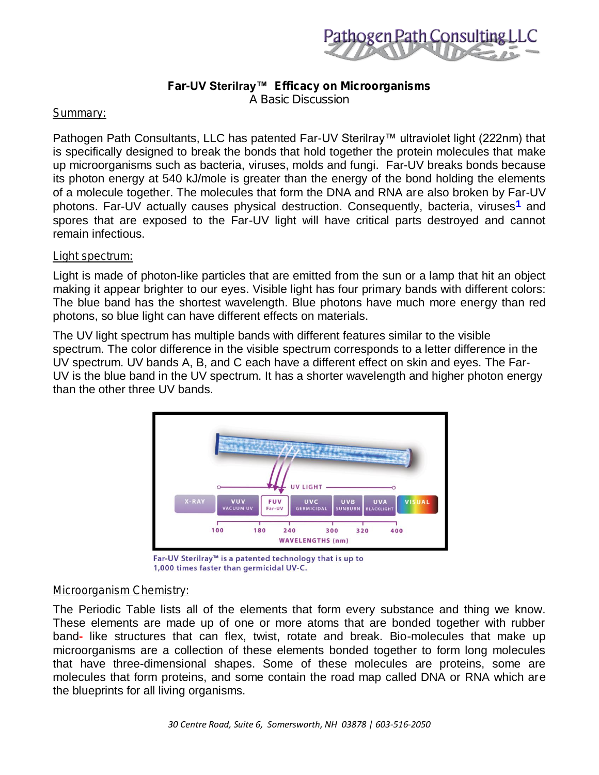

*Far-UV Sterilray™ Efficacy on Microorganisms A Basic Discussion*

# *Summary:*

Pathogen Path Consultants, LLC has patented Far-UV Sterilray™ ultraviolet light (222nm) that is specifically designed to break the bonds that hold together the protein molecules that make up microorganisms such as bacteria, viruses, molds and fungi. Far-UV breaks bonds because its photon energy at 540 kJ/mole is greater than the energy of the bond holding the elements of a molecule together. The molecules that form the DNA and RNA are also broken by Far-UV photons. Far-UV actually causes physical destruction. Consequently, bacteria, viruses**1** and spores that are exposed to the Far-UV light will have critical parts destroyed and cannot remain infectious.

## *Light spectrum:*

Light is made of photon-like particles that are emitted from the sun or a lamp that hit an object making it appear brighter to our eyes. Visible light has four primary bands with different colors: The blue band has the shortest wavelength. Blue photons have much more energy than red photons, so blue light can have different effects on materials.

The UV light spectrum has multiple bands with different features similar to the visible spectrum. The color difference in the visible spectrum corresponds to a letter difference in the UV spectrum. UV bands A, B, and C each have a different effect on skin and eyes. The Far-UV is the blue band in the UV spectrum. It has a shorter wavelength and higher photon energy than the other three UV bands.



Far-UV Sterilray<sup>™</sup> is a patented technology that is up to 1,000 times faster than germicidal UV-C.

## *Microorganism Chemistry:*

The Periodic Table lists all of the elements that form every substance and thing we know. These elements are made up of one or more atoms that are bonded together with rubber band**-** like structures that can flex, twist, rotate and break. Bio-molecules that make up microorganisms are a collection of these elements bonded together to form long molecules that have three-dimensional shapes. Some of these molecules are proteins, some are molecules that form proteins, and some contain the road map called DNA or RNA which are the blueprints for all living organisms.